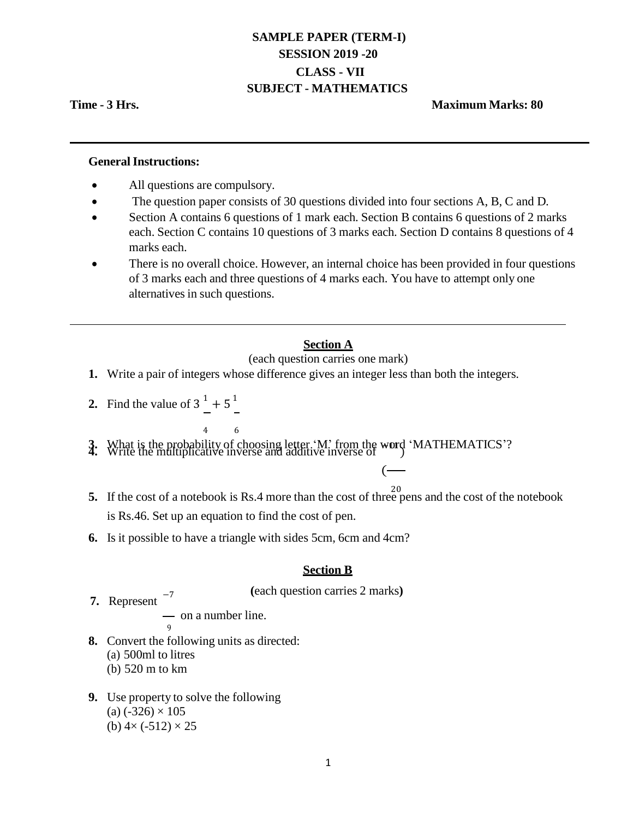# **SAMPLE PAPER (TERM-I) SESSION 2019 -20 CLASS - VII SUBJECT - MATHEMATICS**

# **Time - 3 Hrs. Maximum Marks: 80**

## **General Instructions:**

- All questions are compulsory.
- The question paper consists of 30 questions divided into four sections A, B, C and D.
- Section A contains 6 questions of 1 mark each. Section B contains 6 questions of 2 marks each. Section C contains 10 questions of 3 marks each. Section D contains 8 questions of 4 marks each.
- There is no overall choice. However, an internal choice has been provided in four questions of 3 marks each and three questions of 4 marks each. You have to attempt only one alternatives in such questions.

# **Section A**

(each question carries one mark)

- **1.** Write a pair of integers whose difference gives an integer less than both the integers.
- **2.** Find the value of  $3^1 + 5^1$
- 4 6 **3.** What is the probability of choosing letter 'M' from the word 'MATHEMATICS'?<br>**4.** Write the multiplicative inverse and additive inverse of
	- 20 **5.** If the cost of a notebook is Rs.4 more than the cost of three pens and the cost of the notebook is Rs.46. Set up an equation to find the cost of pen.

(

**6.** Is it possible to have a triangle with sides 5cm, 6cm and 4cm?

## **Section B**

**(**each question carries 2 marks**)**

7. Represent  $^{-7}$ 

- on a number line.

**8.** Convert the following units as directed: (a) 500ml to litres (b) 520 m to km

9

**9.** Use property to solve the following  $(a)$  (-326)  $\times$  105 (b)  $4 \times (-512) \times 25$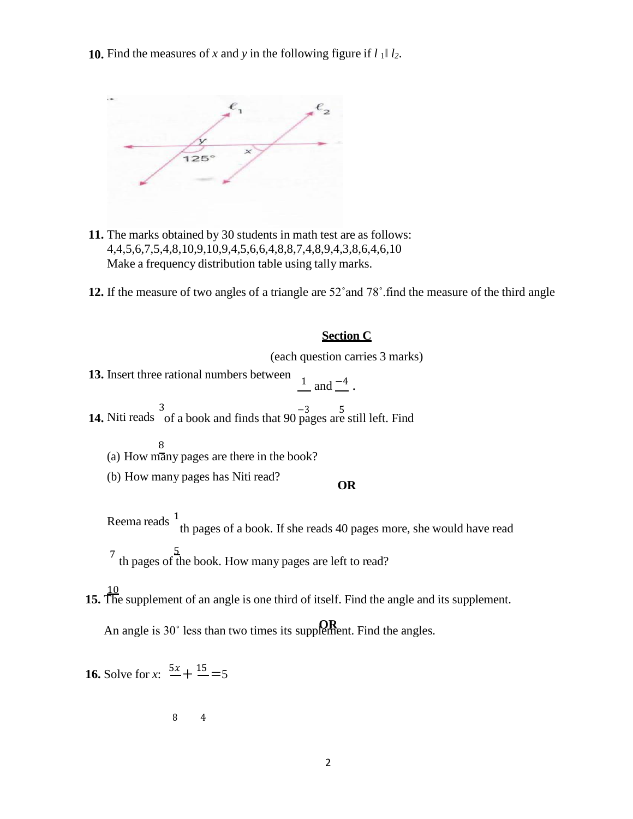**10.** Find the measures of *x* and *y* in the following figure if  $l_1 \parallel l_2$ .



- **11.** The marks obtained by 30 students in math test are as follows: 4,4,5,6,7,5,4,8,10,9,10,9,4,5,6,6,4,8,8,7,4,8,9,4,3,8,6,4,6,10 Make a frequency distribution table using tally marks.
- **12.** If the measure of two angles of a triangle are 52˚and 78˚.find the measure of the third angle

# **Section C**

(each question carries 3 marks)

**13.** Insert three rational numbers between  $\frac{1}{2}$  and  $\frac{-4}{2}$ .

**14.** Niti reads of a book and finds that 90 pages are still left. Find

8 (a) How many pages are there in the book?

(b) How many pages has Niti read? **OR**

Reema reads  $\ ^{1}$ th pages of a book. If she reads 40 pages more, she would have read

 $7^{1}$   $5^{1}$ th pages of the book. How many pages are left to read?

10 **15.** The supplement of an angle is one third of itself. Find the angle and its supplement.

An angle is 30° less than two times its supplement. Find the angles.

**16.** Solve for *x*:  $\frac{5x}{ } + \frac{15}{ } = 5$ 

8 4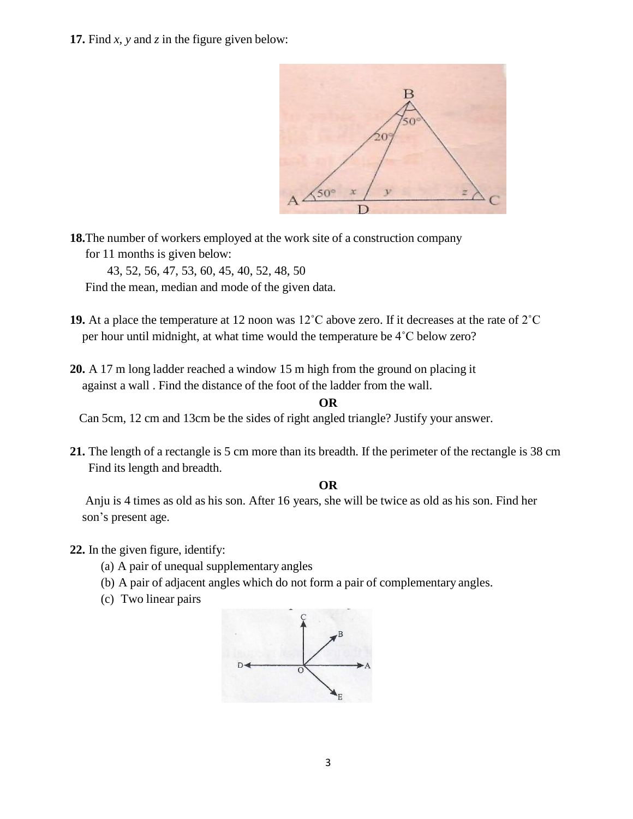**17.** Find *x, y* and *z* in the figure given below:

B  $50^\circ$ 

**18.**The number of workers employed at the work site of a construction company for 11 months is given below:

43, 52, 56, 47, 53, 60, 45, 40, 52, 48, 50

Find the mean, median and mode of the given data.

- **19.** At a place the temperature at 12 noon was 12˚C above zero. If it decreases at the rate of 2˚C per hour until midnight, at what time would the temperature be 4˚C below zero?
- **20.** A 17 m long ladder reached a window 15 m high from the ground on placing it against a wall . Find the distance of the foot of the ladder from the wall.

#### **OR**

Can 5cm, 12 cm and 13cm be the sides of right angled triangle? Justify your answer.

**21.** The length of a rectangle is 5 cm more than its breadth. If the perimeter of the rectangle is 38 cm Find its length and breadth.

## **OR**

Anju is 4 times as old as his son. After 16 years, she will be twice as old as his son. Find her son's present age.

**22.** In the given figure, identify:

- (a) A pair of unequal supplementary angles
- (b) A pair of adjacent angles which do not form a pair of complementary angles.
- (c) Two linear pairs

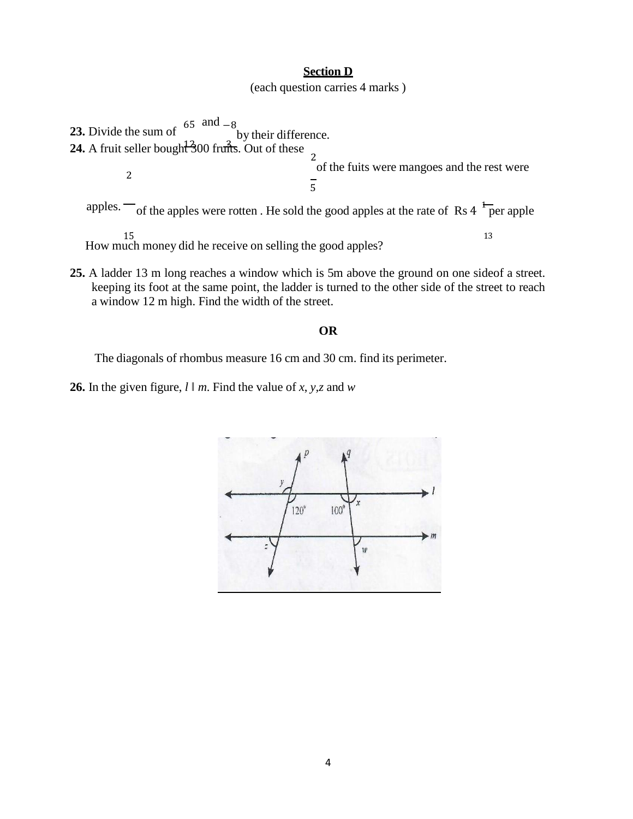#### **Section D**

(each question carries 4 marks )

**23.** Divide the sum of  $65$  and  $-8$ by their difference. **24.** A fruit seller bought  $\frac{3}{3}00$  frums. Out of these  $\frac{2}{3}$ 2 of the fuits were mangoes and the rest were  $\overline{5}$ apples.  $\sim$  of the apples were rotten. He sold the good apples at the rate of Rs 4  $\frac{1}{\sqrt{2}}$  per apple

15 13 How much money did he receive on selling the good apples?

**25.** A ladder 13 m long reaches a window which is 5m above the ground on one sideof a street. keeping its foot at the same point, the ladder is turned to the other side of the street to reach a window 12 m high. Find the width of the street.

# **OR**

The diagonals of rhombus measure 16 cm and 30 cm. find its perimeter.

**26.** In the given figure,  $l \parallel m$ . Find the value of *x*, *y*, *z* and *w*